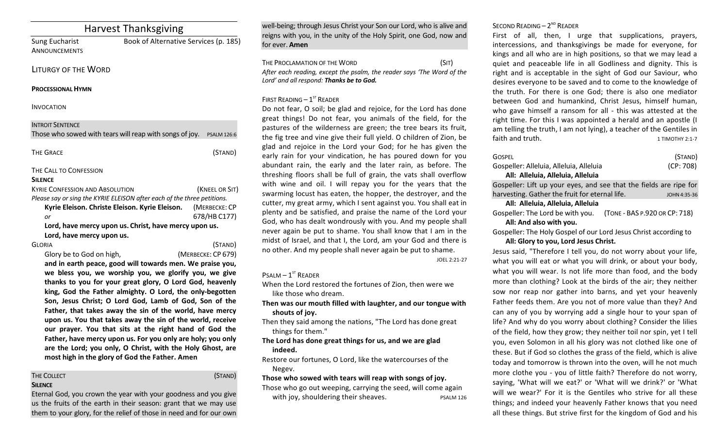| <b>Harvest Thanksgiving</b>                             |                                                                         |  |
|---------------------------------------------------------|-------------------------------------------------------------------------|--|
| <b>Sung Eucharist</b>                                   | Book of Alternative Services (p. 185)                                   |  |
| <b>ANNOUNCEMENTS</b>                                    |                                                                         |  |
| <b>LITURGY OF THE WORD</b>                              |                                                                         |  |
| <b>PROCESSIONAL HYMN</b>                                |                                                                         |  |
| <b>INVOCATION</b>                                       |                                                                         |  |
| <b>INTROIT SENTENCE</b>                                 |                                                                         |  |
| Those who sowed with tears will reap with songs of joy. | <b>PSALM 126:6</b>                                                      |  |
| <b>THE GRACE</b>                                        | (STAND)                                                                 |  |
| THE CALL TO CONFESSION                                  |                                                                         |  |
| <b>SILENCE</b>                                          |                                                                         |  |
| <b>KYRIE CONFESSION AND ABSOLUTION</b>                  | (KNEEL OR SIT)                                                          |  |
|                                                         | Please say or sing the KYRIE ELEISON after each of the three petitions. |  |
| Kyrie Eleison. Christe Eleison. Kyrie Eleison.          | (MERBECKE: CP                                                           |  |
| or                                                      | 678/HB C177)                                                            |  |
| Lord, have mercy upon us.                               | Lord, have mercy upon us. Christ, have mercy upon us.                   |  |
| <b>GLORIA</b>                                           | (STAND)                                                                 |  |
| Glory be to God on high,                                | (MERBECKE: CP 679)                                                      |  |
|                                                         | and in earth peace, good will towards men. We praise you,               |  |
|                                                         | we bless you, we worship you, we glorify you, we give                   |  |
|                                                         | thanks to you for your great glory, O Lord God, heavenly                |  |

king, God the Father almighty. O Lord, the only-begotten Son, Jesus Christ; O Lord God, Lamb of God, Son of the Father, that takes away the sin of the world, have mercy upon us. You that takes away the sin of the world, receive our prayer. You that sits at the right hand of God the Father, have mercy upon us. For you only are holy; you only are the Lord; you only, O Christ, with the Holy Ghost, are most high in the glory of God the Father. Amen

#### THE COLLECT **THE COLLECT COLLECT COLLECT COLLECT COLLECT COLLECT COLLECT SILENCE**

Eternal God, you crown the year with your goodness and you give us the fruits of the earth in their season: grant that we may use them to your glory, for the relief of those in need and for our own

well-being; through Jesus Christ your Son our Lord, who is alive and reigns with you, in the unity of the Holy Spirit, one God, now and for ever. **Amen** 

THE PROCLAMATION OF THE WORD (SIT) After each reading, except the psalm, the reader says 'The Word of the Lord' and all respond: Thanks be to God.

# FIRST READING  $-1<sup>st</sup>$  READER

Do not fear, O soil; be glad and rejoice, for the Lord has done great things! Do not fear, you animals of the field, for the pastures of the wilderness are green; the tree bears its fruit, the fig tree and vine give their full yield. O children of Zion, be glad and rejoice in the Lord your God; for he has given the early rain for your vindication, he has poured down for you abundant rain, the early and the later rain, as before. The threshing floors shall be full of grain, the vats shall overflow with wine and oil. I will repay you for the years that the swarming locust has eaten, the hopper, the destroyer, and the cutter, my great army, which I sent against you. You shall eat in plenty and be satisfied, and praise the name of the Lord your God, who has dealt wondrously with you. And my people shall never again be put to shame. You shall know that I am in the midst of Israel, and that I, the Lord, am your God and there is no other. And my people shall never again be put to shame.

JOEL 2:21-27

# $P$ SALM –  $1^{ST}$  READER

When the Lord restored the fortunes of Zion, then were we like those who dream.

Then was our mouth filled with laughter, and our tongue with shouts of jov.

Then they said among the nations, "The Lord has done great things for them."

The Lord has done great things for us, and we are glad **indeed.**

Restore our fortunes, O Lord, like the watercourses of the Negev.

Those who sowed with tears will reap with songs of joy.

Those who go out weeping, carrying the seed, will come again with joy, shouldering their sheaves. The pSALM 126

# SECOND READING  $- 2<sup>ND</sup>$  READER

First of all, then, I urge that supplications, prayers, intercessions, and thanksgivings be made for everyone, for kings and all who are in high positions, so that we may lead a quiet and peaceable life in all Godliness and dignity. This is right and is acceptable in the sight of God our Saviour, who desires everyone to be saved and to come to the knowledge of the truth. For there is one God; there is also one mediator between God and humankind, Christ Jesus, himself human, who gave himself a ransom for all - this was attested at the right time. For this I was appointed a herald and an apostle (I am telling the truth, I am not lying), a teacher of the Gentiles in faith and truth. The state of the state of the state of the state of the state of the state of the state of the state of the state of the state of the state of the state of the state of the state of the state of the state

| Gospel                                  | (STAND)   |
|-----------------------------------------|-----------|
| Gospeller: Alleluia, Alleluia, Alleluia | (CP: 708) |
| All: Alleluia, Alleluia, Alleluia       |           |

Gospeller: Lift up your eyes, and see that the fields are ripe for harvesting. Gather the fruit for eternal life. *IOHN4:35-36* 

### **All: Alleluia, Alleluia, Alleluia**

Gospeller: The Lord be with you. (TONE - BAS P.920 OR CP: 718) All: And also with you.

Gospeller: The Holy Gospel of our Lord Jesus Christ according to All: Glory to you, Lord Jesus Christ.

Jesus said, "Therefore I tell you, do not worry about your life, what you will eat or what you will drink, or about your body, what you will wear. Is not life more than food, and the body more than clothing? Look at the birds of the air; they neither sow nor reap nor gather into barns, and yet your heavenly Father feeds them. Are you not of more value than they? And can any of you by worrying add a single hour to your span of life? And why do you worry about clothing? Consider the lilies of the field, how they grow; they neither toil nor spin, yet I tell you, even Solomon in all his glory was not clothed like one of these. But if God so clothes the grass of the field, which is alive today and tomorrow is thrown into the oven, will he not much more clothe you - you of little faith? Therefore do not worry, saying, 'What will we eat?' or 'What will we drink?' or 'What will we wear?' For it is the Gentiles who strive for all these things; and indeed your heavenly Father knows that you need all these things. But strive first for the kingdom of God and his